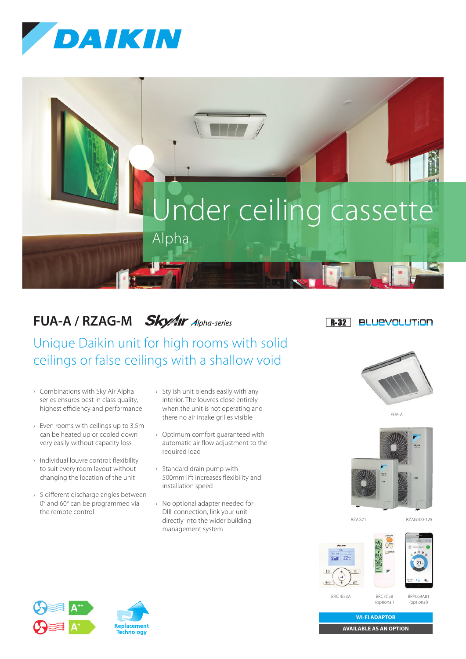



## **FUA-A / RZAG-M Sky/ir** Alpha-series

Unique Daikin unit for high rooms with solid ceilings or false ceilings with a shallow void

- › Combinations with Sky Air Alpha series ensures best in class quality, highest efficiency and performance
- › Even rooms with ceilings up to 3.5m can be heated up or cooled down very easily without capacity loss
- › Individual louvre control: flexibility to suit every room layout without changing the location of the unit
- › 5 different discharge angles between 0° and 60° can be programmed via the remote control
- › Stylish unit blends easily with any interior. The louvres close entirely when the unit is not operating and there no air intake grilles visible
- › Optimum comfort guaranteed with automatic air flow adjustment to the required load
- › Standard drain pump with 500mm lift increases flexibility and installation speed
- › No optional adapter needed for DIII-connection, link your unit directly into the wider building management system

## $R-32$ **BLUEVOLUTION**







RZAG71 RZAG100-125



BRC7C58 (optional)

BRP069A81 (optional)



BRC1E53A